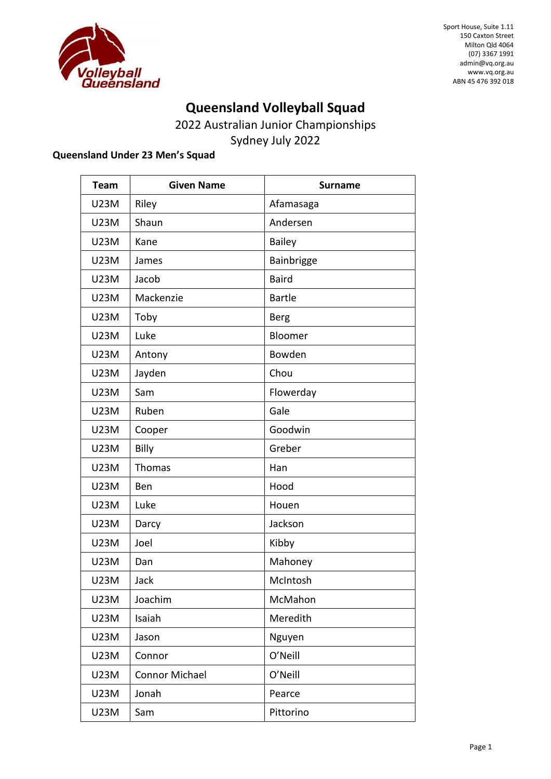

### **Queensland Volleyball Squad**

2022 Australian Junior Championships Sydney July 2022

#### **Queensland Under 23 Men's Squad**

| <b>Team</b> | <b>Given Name</b> | <b>Surname</b> |
|-------------|-------------------|----------------|
| <b>U23M</b> | Riley             | Afamasaga      |
| <b>U23M</b> | Shaun             | Andersen       |
| <b>U23M</b> | Kane              | <b>Bailey</b>  |
| <b>U23M</b> | James             | Bainbrigge     |
| <b>U23M</b> | Jacob             | <b>Baird</b>   |
| <b>U23M</b> | Mackenzie         | <b>Bartle</b>  |
| <b>U23M</b> | Toby              | <b>Berg</b>    |
| <b>U23M</b> | Luke              | Bloomer        |
| <b>U23M</b> | Antony            | Bowden         |
| <b>U23M</b> | Jayden            | Chou           |
| <b>U23M</b> | Sam               | Flowerday      |
| <b>U23M</b> | Ruben             | Gale           |
| <b>U23M</b> | Cooper            | Goodwin        |
| <b>U23M</b> | Billy             | Greber         |
| <b>U23M</b> | Thomas            | Han            |
| <b>U23M</b> | Ben               | Hood           |
| <b>U23M</b> | Luke              | Houen          |
| <b>U23M</b> | Darcy             | Jackson        |
| <b>U23M</b> | Joel              | Kibby          |
| <b>U23M</b> | Dan               | Mahoney        |
| <b>U23M</b> | Jack              | McIntosh       |
| <b>U23M</b> | Joachim           | McMahon        |
| <b>U23M</b> | Isaiah            | Meredith       |
| <b>U23M</b> | Jason             | Nguyen         |
| U23M        | Connor            | O'Neill        |
| <b>U23M</b> | Connor Michael    | O'Neill        |
| U23M        | Jonah             | Pearce         |
| U23M        | Sam               | Pittorino      |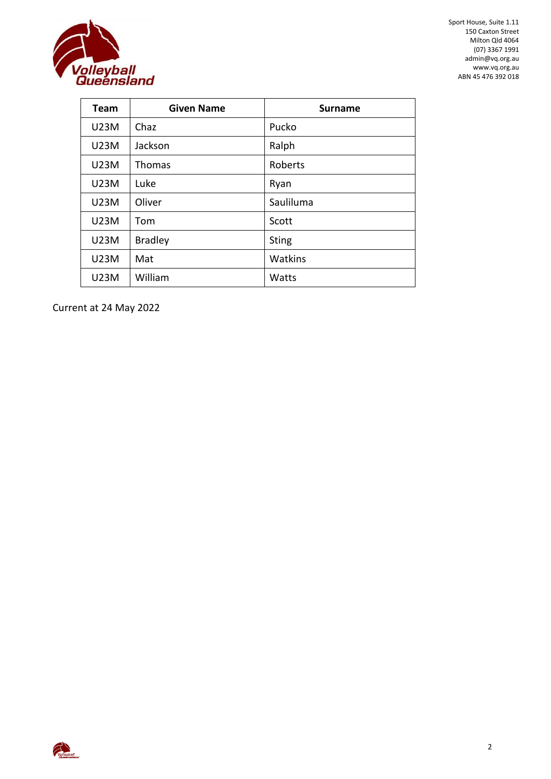

| <b>Team</b> | <b>Given Name</b> | <b>Surname</b> |
|-------------|-------------------|----------------|
| <b>U23M</b> | Chaz              | Pucko          |
| <b>U23M</b> | Jackson           | Ralph          |
| <b>U23M</b> | <b>Thomas</b>     | Roberts        |
| U23M        | Luke              | Ryan           |
| <b>U23M</b> | Oliver            | Sauliluma      |
| <b>U23M</b> | Tom               | Scott          |
| <b>U23M</b> | <b>Bradley</b>    | <b>Sting</b>   |
| <b>U23M</b> | Mat               | Watkins        |
| <b>U23M</b> | William           | Watts          |

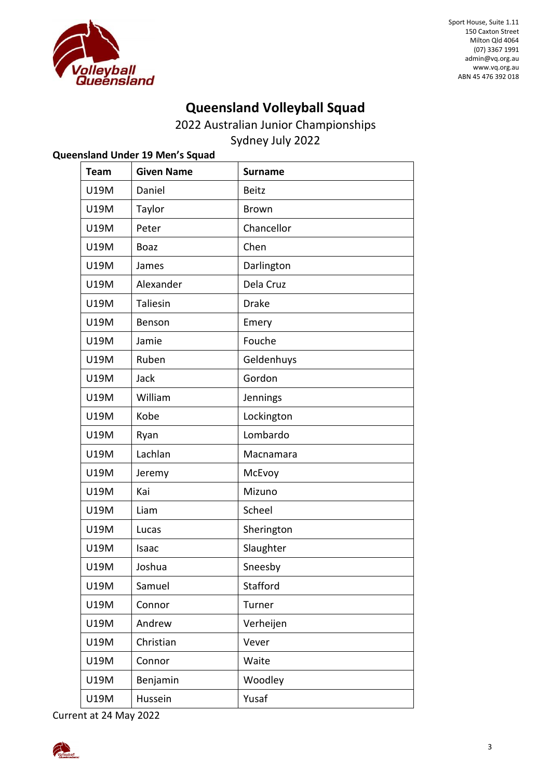

# **Queensland Volleyball Squad**

2022 Australian Junior Championships

Sydney July 2022

| Queensland Under 19 Men's Squad |                   |                |  |  |
|---------------------------------|-------------------|----------------|--|--|
| <b>Team</b>                     | <b>Given Name</b> | <b>Surname</b> |  |  |
| U19M                            | Daniel            | <b>Beitz</b>   |  |  |
| <b>U19M</b>                     | Taylor            | <b>Brown</b>   |  |  |
| U19M                            | Peter             | Chancellor     |  |  |
| U19M                            | <b>Boaz</b>       | Chen           |  |  |
| U19M                            | James             | Darlington     |  |  |
| U19M                            | Alexander         | Dela Cruz      |  |  |
| <b>U19M</b>                     | Taliesin          | <b>Drake</b>   |  |  |
| U19M                            | Benson            | Emery          |  |  |
| U19M                            | Jamie             | Fouche         |  |  |
| <b>U19M</b>                     | Ruben             | Geldenhuys     |  |  |
| <b>U19M</b>                     | Jack              | Gordon         |  |  |
| U19M                            | William           | Jennings       |  |  |
| U19M                            | Kobe              | Lockington     |  |  |
| U19M                            | Ryan              | Lombardo       |  |  |
| <b>U19M</b>                     | Lachlan           | Macnamara      |  |  |
| U19M                            | Jeremy            | McEvoy         |  |  |
| <b>U19M</b>                     | Kai               | Mizuno         |  |  |
| U19M                            | Liam              | Scheel         |  |  |
| U19M                            | Lucas             | Sherington     |  |  |
| <b>U19M</b>                     | Isaac             | Slaughter      |  |  |
| U19M                            | Joshua            | Sneesby        |  |  |
| U19M                            | Samuel            | Stafford       |  |  |
| U19M                            | Connor            | Turner         |  |  |
| U19M                            | Andrew            | Verheijen      |  |  |
| U19M                            | Christian         | Vever          |  |  |
| U19M                            | Connor            | Waite          |  |  |
| U19M                            | Benjamin          | Woodley        |  |  |
| U19M                            | Hussein           | Yusaf          |  |  |

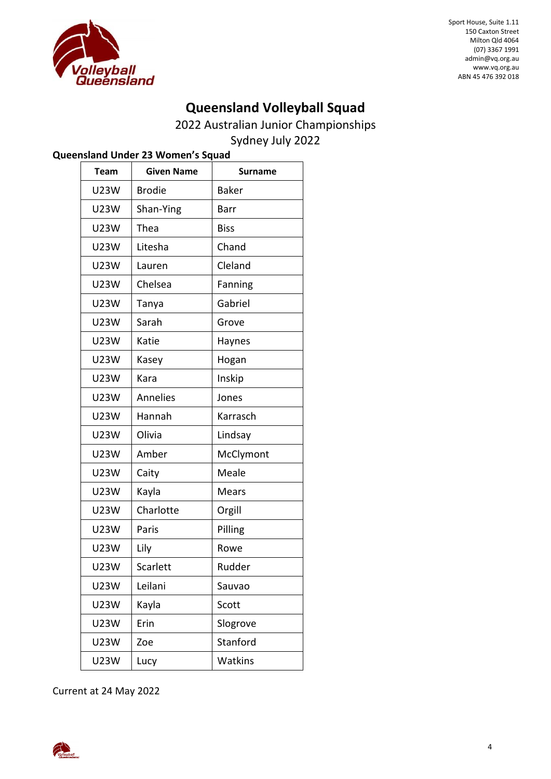

## **Queensland Volleyball Squad**

2022 Australian Junior Championships

Sydney July 2022

|  |  | Queensland Under 23 Women's Squad |  |
|--|--|-----------------------------------|--|
|  |  |                                   |  |

| <b>Team</b> | <b>Given Name</b> | <b>Surname</b> |
|-------------|-------------------|----------------|
| U23W        | <b>Brodie</b>     | <b>Baker</b>   |
| <b>U23W</b> | Shan-Ying         | Barr           |
| <b>U23W</b> | Thea              | <b>Biss</b>    |
| <b>U23W</b> | Litesha           | Chand          |
| <b>U23W</b> | Lauren            | Cleland        |
| <b>U23W</b> | Chelsea           | Fanning        |
| U23W        | Tanya             | Gabriel        |
| <b>U23W</b> | Sarah             | Grove          |
| <b>U23W</b> | Katie             | Haynes         |
| <b>U23W</b> | Kasey             | Hogan          |
| <b>U23W</b> | Kara              | Inskip         |
| <b>U23W</b> | <b>Annelies</b>   | Jones          |
| <b>U23W</b> | Hannah            | Karrasch       |
| <b>U23W</b> | Olivia            | Lindsay        |
| <b>U23W</b> | Amber             | McClymont      |
| <b>U23W</b> | Caity             | Meale          |
| U23W        | Kayla             | Mears          |
| <b>U23W</b> | Charlotte         | Orgill         |
| <b>U23W</b> | Paris             | Pilling        |
| U23W        | Lily              | Rowe           |
| <b>U23W</b> | Scarlett          | Rudder         |
| <b>U23W</b> | Leilani           | Sauvao         |
| U23W        | Kayla             | Scott          |
| U23W        | Erin              | Slogrove       |
| U23W        | Zoe               | Stanford       |
| <b>U23W</b> | Lucy              | Watkins        |